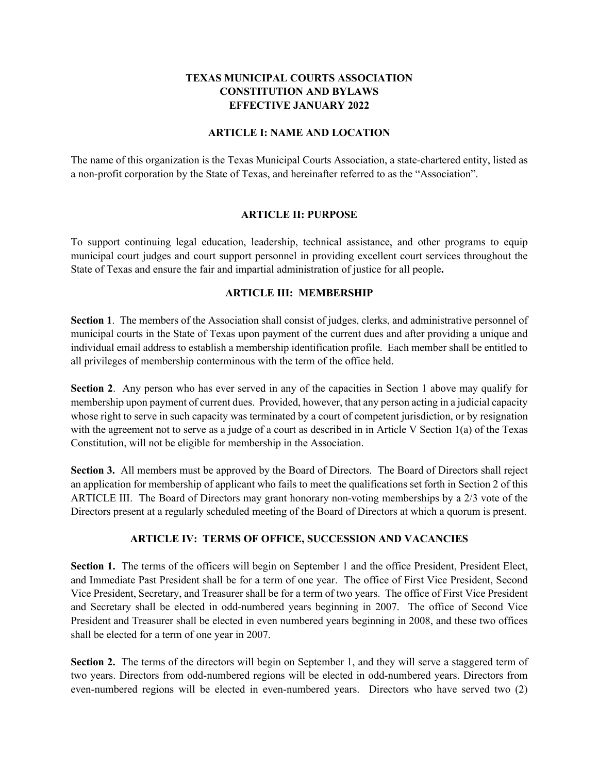# **TEXAS MUNICIPAL COURTS ASSOCIATION CONSTITUTION AND BYLAWS EFFECTIVE JANUARY 2022**

#### **ARTICLE I: NAME AND LOCATION**

The name of this organization is the Texas Municipal Courts Association, a state-chartered entity, listed as a non-profit corporation by the State of Texas, and hereinafter referred to as the "Association".

#### **ARTICLE II: PURPOSE**

To support continuing legal education, leadership, technical assistance, and other programs to equip municipal court judges and court support personnel in providing excellent court services throughout the State of Texas and ensure the fair and impartial administration of justice for all people**.**

## **ARTICLE III: MEMBERSHIP**

**Section 1**. The members of the Association shall consist of judges, clerks, and administrative personnel of municipal courts in the State of Texas upon payment of the current dues and after providing a unique and individual email address to establish a membership identification profile. Each member shall be entitled to all privileges of membership conterminous with the term of the office held.

**Section 2**. Any person who has ever served in any of the capacities in Section 1 above may qualify for membership upon payment of current dues. Provided, however, that any person acting in a judicial capacity whose right to serve in such capacity was terminated by a court of competent jurisdiction, or by resignation with the agreement not to serve as a judge of a court as described in in Article V Section 1(a) of the Texas Constitution, will not be eligible for membership in the Association.

**Section 3.** All members must be approved by the Board of Directors. The Board of Directors shall reject an application for membership of applicant who fails to meet the qualifications set forth in Section 2 of this ARTICLE III. The Board of Directors may grant honorary non-voting memberships by a 2/3 vote of the Directors present at a regularly scheduled meeting of the Board of Directors at which a quorum is present.

## **ARTICLE IV: TERMS OF OFFICE, SUCCESSION AND VACANCIES**

**Section 1.** The terms of the officers will begin on September 1 and the office President, President Elect, and Immediate Past President shall be for a term of one year. The office of First Vice President, Second Vice President, Secretary, and Treasurer shall be for a term of two years. The office of First Vice President and Secretary shall be elected in odd-numbered years beginning in 2007. The office of Second Vice President and Treasurer shall be elected in even numbered years beginning in 2008, and these two offices shall be elected for a term of one year in 2007.

**Section 2.** The terms of the directors will begin on September 1, and they will serve a staggered term of two years. Directors from odd-numbered regions will be elected in odd-numbered years. Directors from even-numbered regions will be elected in even-numbered years. Directors who have served two (2)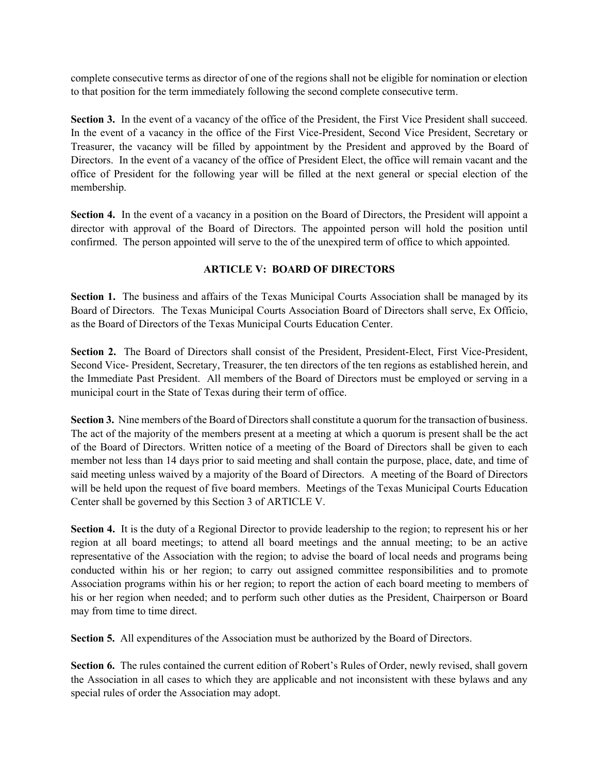complete consecutive terms as director of one of the regions shall not be eligible for nomination or election to that position for the term immediately following the second complete consecutive term.

**Section 3.** In the event of a vacancy of the office of the President, the First Vice President shall succeed. In the event of a vacancy in the office of the First Vice-President, Second Vice President, Secretary or Treasurer, the vacancy will be filled by appointment by the President and approved by the Board of Directors. In the event of a vacancy of the office of President Elect, the office will remain vacant and the office of President for the following year will be filled at the next general or special election of the membership.

**Section 4.** In the event of a vacancy in a position on the Board of Directors, the President will appoint a director with approval of the Board of Directors. The appointed person will hold the position until confirmed. The person appointed will serve to the of the unexpired term of office to which appointed.

## **ARTICLE V: BOARD OF DIRECTORS**

**Section 1.** The business and affairs of the Texas Municipal Courts Association shall be managed by its Board of Directors. The Texas Municipal Courts Association Board of Directors shall serve, Ex Officio, as the Board of Directors of the Texas Municipal Courts Education Center.

**Section 2.** The Board of Directors shall consist of the President, President-Elect, First Vice-President, Second Vice- President, Secretary, Treasurer, the ten directors of the ten regions as established herein, and the Immediate Past President. All members of the Board of Directors must be employed or serving in a municipal court in the State of Texas during their term of office.

**Section 3.** Nine members of the Board of Directors shall constitute a quorum for the transaction of business. The act of the majority of the members present at a meeting at which a quorum is present shall be the act of the Board of Directors. Written notice of a meeting of the Board of Directors shall be given to each member not less than 14 days prior to said meeting and shall contain the purpose, place, date, and time of said meeting unless waived by a majority of the Board of Directors. A meeting of the Board of Directors will be held upon the request of five board members. Meetings of the Texas Municipal Courts Education Center shall be governed by this Section 3 of ARTICLE V.

**Section 4.** It is the duty of a Regional Director to provide leadership to the region; to represent his or her region at all board meetings; to attend all board meetings and the annual meeting; to be an active representative of the Association with the region; to advise the board of local needs and programs being conducted within his or her region; to carry out assigned committee responsibilities and to promote Association programs within his or her region; to report the action of each board meeting to members of his or her region when needed; and to perform such other duties as the President, Chairperson or Board may from time to time direct.

**Section 5.** All expenditures of the Association must be authorized by the Board of Directors.

Section 6. The rules contained the current edition of Robert's Rules of Order, newly revised, shall govern the Association in all cases to which they are applicable and not inconsistent with these bylaws and any special rules of order the Association may adopt.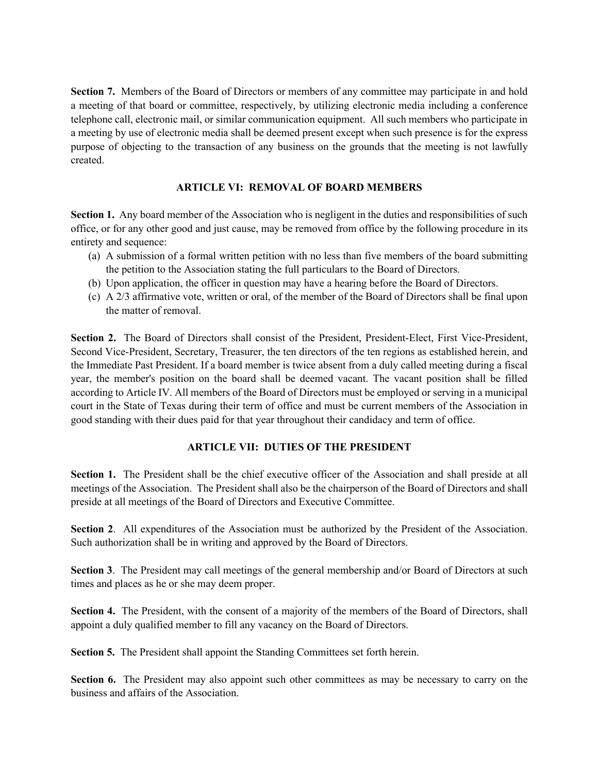**Section 7.** Members of the Board of Directors or members of any committee may participate in and hold a meeting of that board or committee, respectively, by utilizing electronic media including a conference telephone call, electronic mail, or similar communication equipment. All such members who participate in a meeting by use of electronic media shall be deemed present except when such presence is for the express purpose of objecting to the transaction of any business on the grounds that the meeting is not lawfully created.

## **ARTICLE VI: REMOVAL OF BOARD MEMBERS**

Section 1. Any board member of the Association who is negligent in the duties and responsibilities of such office, or for any other good and just cause, may be removed from office by the following procedure in its entirety and sequence:

- (a) A submission of a formal written petition with no less than five members of the board submitting the petition to the Association stating the full particulars to the Board of Directors.
- (b) Upon application, the officer in question may have a hearing before the Board of Directors.
- (c) A 2/3 affirmative vote, written or oral, of the member of the Board of Directors shall be final upon the matter of removal.

**Section 2.** The Board of Directors shall consist of the President, President-Elect, First Vice-President, Second Vice-President, Secretary, Treasurer, the ten directors of the ten regions as established herein, and the Immediate Past President. If a board member is twice absent from a duly called meeting during a fiscal year, the member's position on the board shall be deemed vacant. The vacant position shall be filled according to Article IV. All members of the Board of Directors must be employed or serving in a municipal court in the State of Texas during their term of office and must be current members of the Association in good standing with their dues paid for that year throughout their candidacy and term of office.

# **ARTICLE VII: DUTIES OF THE PRESIDENT**

**Section 1.** The President shall be the chief executive officer of the Association and shall preside at all meetings of the Association. The President shall also be the chairperson of the Board of Directors and shall preside at all meetings of the Board of Directors and Executive Committee.

**Section 2**. All expenditures of the Association must be authorized by the President of the Association. Such authorization shall be in writing and approved by the Board of Directors.

**Section 3**. The President may call meetings of the general membership and/or Board of Directors at such times and places as he or she may deem proper.

**Section 4.** The President, with the consent of a majority of the members of the Board of Directors, shall appoint a duly qualified member to fill any vacancy on the Board of Directors.

**Section 5.** The President shall appoint the Standing Committees set forth herein.

**Section 6.** The President may also appoint such other committees as may be necessary to carry on the business and affairs of the Association.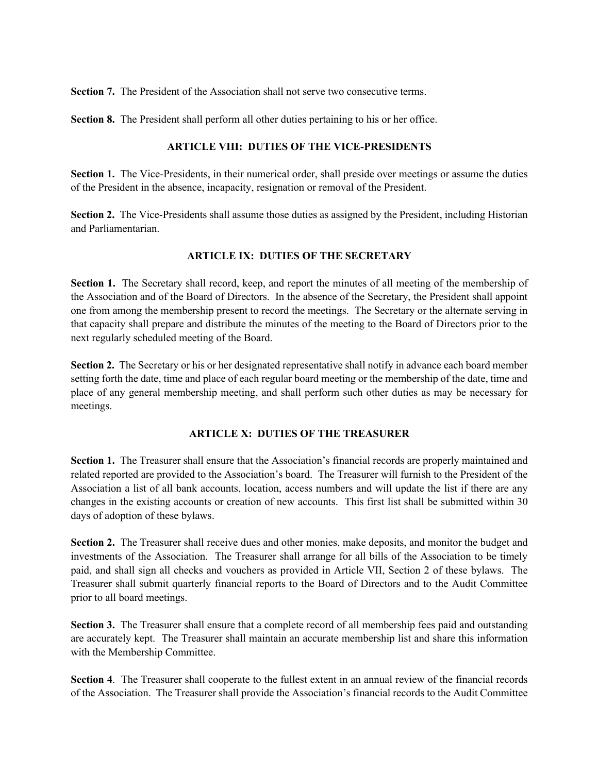**Section 7.** The President of the Association shall not serve two consecutive terms.

**Section 8.** The President shall perform all other duties pertaining to his or her office.

## **ARTICLE VIII: DUTIES OF THE VICE-PRESIDENTS**

**Section 1.** The Vice-Presidents, in their numerical order, shall preside over meetings or assume the duties of the President in the absence, incapacity, resignation or removal of the President.

**Section 2.** The Vice-Presidents shall assume those duties as assigned by the President, including Historian and Parliamentarian.

## **ARTICLE IX: DUTIES OF THE SECRETARY**

**Section 1.** The Secretary shall record, keep, and report the minutes of all meeting of the membership of the Association and of the Board of Directors. In the absence of the Secretary, the President shall appoint one from among the membership present to record the meetings. The Secretary or the alternate serving in that capacity shall prepare and distribute the minutes of the meeting to the Board of Directors prior to the next regularly scheduled meeting of the Board.

**Section 2.** The Secretary or his or her designated representative shall notify in advance each board member setting forth the date, time and place of each regular board meeting or the membership of the date, time and place of any general membership meeting, and shall perform such other duties as may be necessary for meetings.

## **ARTICLE X: DUTIES OF THE TREASURER**

**Section 1.** The Treasurer shall ensure that the Association's financial records are properly maintained and related reported are provided to the Association's board. The Treasurer will furnish to the President of the Association a list of all bank accounts, location, access numbers and will update the list if there are any changes in the existing accounts or creation of new accounts. This first list shall be submitted within 30 days of adoption of these bylaws.

**Section 2.** The Treasurer shall receive dues and other monies, make deposits, and monitor the budget and investments of the Association. The Treasurer shall arrange for all bills of the Association to be timely paid, and shall sign all checks and vouchers as provided in Article VII, Section 2 of these bylaws. The Treasurer shall submit quarterly financial reports to the Board of Directors and to the Audit Committee prior to all board meetings.

**Section 3.** The Treasurer shall ensure that a complete record of all membership fees paid and outstanding are accurately kept. The Treasurer shall maintain an accurate membership list and share this information with the Membership Committee.

**Section 4.** The Treasurer shall cooperate to the fullest extent in an annual review of the financial records of the Association. The Treasurer shall provide the Association's financial records to the Audit Committee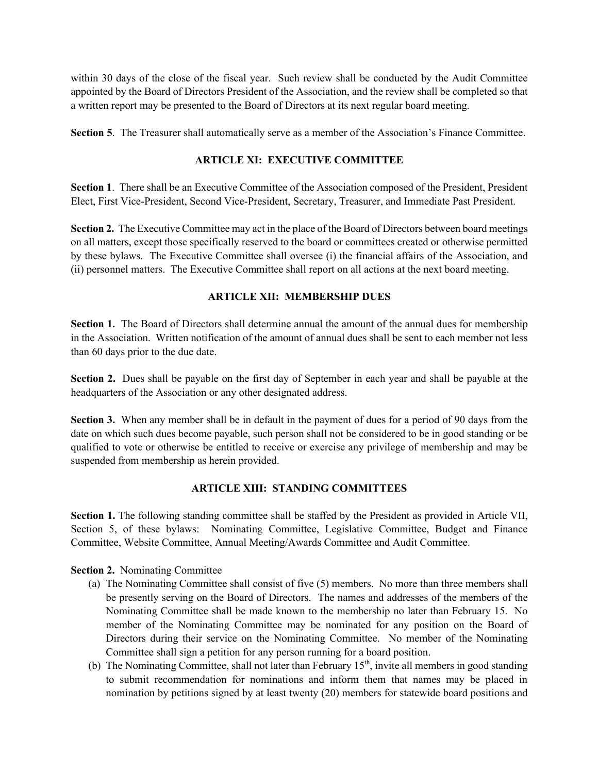within 30 days of the close of the fiscal year. Such review shall be conducted by the Audit Committee appointed by the Board of Directors President of the Association, and the review shall be completed so that a written report may be presented to the Board of Directors at its next regular board meeting.

**Section 5**. The Treasurer shall automatically serve as a member of the Association's Finance Committee.

## **ARTICLE XI: EXECUTIVE COMMITTEE**

**Section 1**. There shall be an Executive Committee of the Association composed of the President, President Elect, First Vice-President, Second Vice-President, Secretary, Treasurer, and Immediate Past President.

**Section 2.** The Executive Committee may act in the place of the Board of Directors between board meetings on all matters, except those specifically reserved to the board or committees created or otherwise permitted by these bylaws. The Executive Committee shall oversee (i) the financial affairs of the Association, and (ii) personnel matters. The Executive Committee shall report on all actions at the next board meeting.

## **ARTICLE XII: MEMBERSHIP DUES**

**Section 1.** The Board of Directors shall determine annual the amount of the annual dues for membership in the Association. Written notification of the amount of annual dues shall be sent to each member not less than 60 days prior to the due date.

**Section 2.** Dues shall be payable on the first day of September in each year and shall be payable at the headquarters of the Association or any other designated address.

**Section 3.** When any member shall be in default in the payment of dues for a period of 90 days from the date on which such dues become payable, such person shall not be considered to be in good standing or be qualified to vote or otherwise be entitled to receive or exercise any privilege of membership and may be suspended from membership as herein provided.

# **ARTICLE XIII: STANDING COMMITTEES**

**Section 1.** The following standing committee shall be staffed by the President as provided in Article VII, Section 5, of these bylaws: Nominating Committee, Legislative Committee, Budget and Finance Committee, Website Committee, Annual Meeting/Awards Committee and Audit Committee.

**Section 2.** Nominating Committee

- (a) The Nominating Committee shall consist of five (5) members. No more than three members shall be presently serving on the Board of Directors. The names and addresses of the members of the Nominating Committee shall be made known to the membership no later than February 15. No member of the Nominating Committee may be nominated for any position on the Board of Directors during their service on the Nominating Committee. No member of the Nominating Committee shall sign a petition for any person running for a board position.
- (b) The Nominating Committee, shall not later than February  $15<sup>th</sup>$ , invite all members in good standing to submit recommendation for nominations and inform them that names may be placed in nomination by petitions signed by at least twenty (20) members for statewide board positions and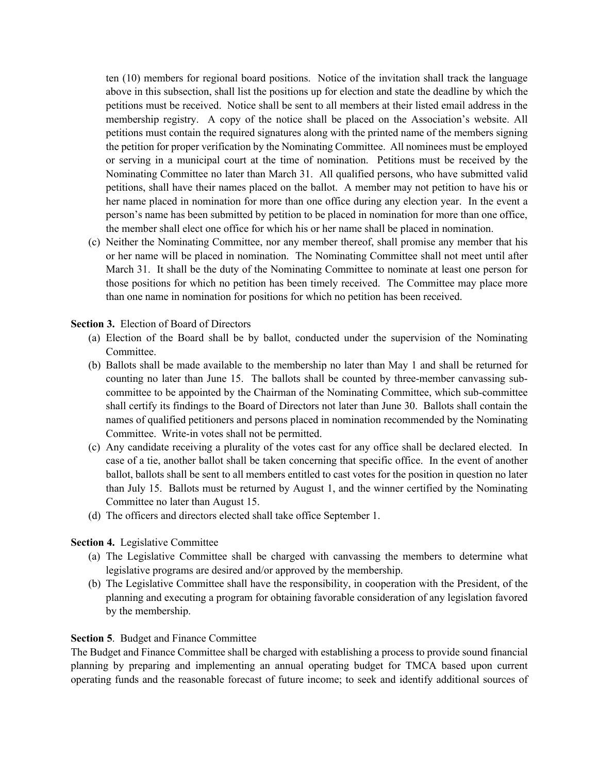ten (10) members for regional board positions. Notice of the invitation shall track the language above in this subsection, shall list the positions up for election and state the deadline by which the petitions must be received. Notice shall be sent to all members at their listed email address in the membership registry. A copy of the notice shall be placed on the Association's website. All petitions must contain the required signatures along with the printed name of the members signing the petition for proper verification by the Nominating Committee. All nominees must be employed or serving in a municipal court at the time of nomination. Petitions must be received by the Nominating Committee no later than March 31. All qualified persons, who have submitted valid petitions, shall have their names placed on the ballot. A member may not petition to have his or her name placed in nomination for more than one office during any election year. In the event a person's name has been submitted by petition to be placed in nomination for more than one office, the member shall elect one office for which his or her name shall be placed in nomination.

(c) Neither the Nominating Committee, nor any member thereof, shall promise any member that his or her name will be placed in nomination. The Nominating Committee shall not meet until after March 31. It shall be the duty of the Nominating Committee to nominate at least one person for those positions for which no petition has been timely received. The Committee may place more than one name in nomination for positions for which no petition has been received.

#### **Section 3.** Election of Board of Directors

- (a) Election of the Board shall be by ballot, conducted under the supervision of the Nominating Committee.
- (b) Ballots shall be made available to the membership no later than May 1 and shall be returned for counting no later than June 15. The ballots shall be counted by three-member canvassing subcommittee to be appointed by the Chairman of the Nominating Committee, which sub-committee shall certify its findings to the Board of Directors not later than June 30. Ballots shall contain the names of qualified petitioners and persons placed in nomination recommended by the Nominating Committee. Write-in votes shall not be permitted.
- (c) Any candidate receiving a plurality of the votes cast for any office shall be declared elected. In case of a tie, another ballot shall be taken concerning that specific office. In the event of another ballot, ballots shall be sent to all members entitled to cast votes for the position in question no later than July 15. Ballots must be returned by August 1, and the winner certified by the Nominating Committee no later than August 15.
- (d) The officers and directors elected shall take office September 1.

## **Section 4.** Legislative Committee

- (a) The Legislative Committee shall be charged with canvassing the members to determine what legislative programs are desired and/or approved by the membership.
- (b) The Legislative Committee shall have the responsibility, in cooperation with the President, of the planning and executing a program for obtaining favorable consideration of any legislation favored by the membership.

#### **Section 5**. Budget and Finance Committee

The Budget and Finance Committee shall be charged with establishing a process to provide sound financial planning by preparing and implementing an annual operating budget for TMCA based upon current operating funds and the reasonable forecast of future income; to seek and identify additional sources of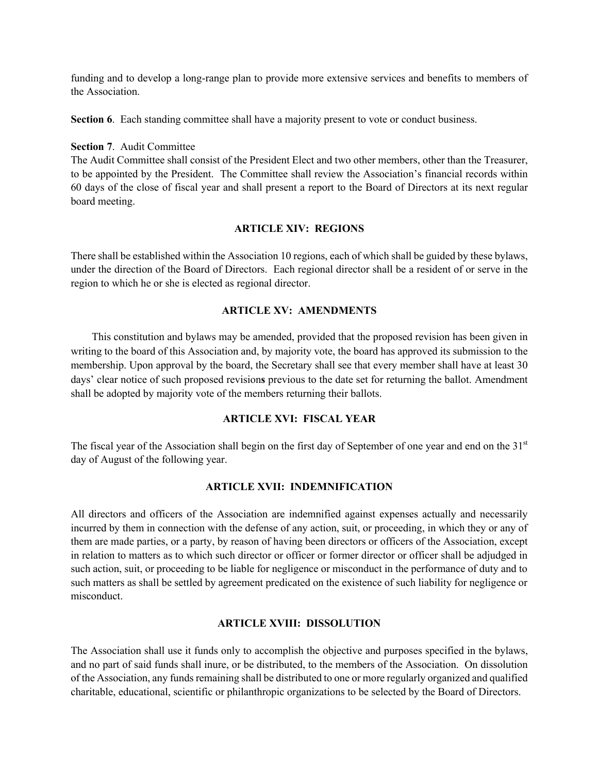funding and to develop a long-range plan to provide more extensive services and benefits to members of the Association.

**Section 6.** Each standing committee shall have a majority present to vote or conduct business.

#### **Section 7**. Audit Committee

The Audit Committee shall consist of the President Elect and two other members, other than the Treasurer, to be appointed by the President. The Committee shall review the Association's financial records within 60 days of the close of fiscal year and shall present a report to the Board of Directors at its next regular board meeting.

## **ARTICLE XIV: REGIONS**

There shall be established within the Association 10 regions, each of which shall be guided by these bylaws, under the direction of the Board of Directors. Each regional director shall be a resident of or serve in the region to which he or she is elected as regional director.

#### **ARTICLE XV: AMENDMENTS**

This constitution and bylaws may be amended, provided that the proposed revision has been given in writing to the board of this Association and, by majority vote, the board has approved its submission to the membership. Upon approval by the board, the Secretary shall see that every member shall have at least 30 days' clear notice of such proposed revision**s** previous to the date set for returning the ballot. Amendment shall be adopted by majority vote of the members returning their ballots.

## **ARTICLE XVI: FISCAL YEAR**

The fiscal year of the Association shall begin on the first day of September of one year and end on the 31<sup>st</sup> day of August of the following year.

#### **ARTICLE XVII: INDEMNIFICATION**

All directors and officers of the Association are indemnified against expenses actually and necessarily incurred by them in connection with the defense of any action, suit, or proceeding, in which they or any of them are made parties, or a party, by reason of having been directors or officers of the Association, except in relation to matters as to which such director or officer or former director or officer shall be adjudged in such action, suit, or proceeding to be liable for negligence or misconduct in the performance of duty and to such matters as shall be settled by agreement predicated on the existence of such liability for negligence or misconduct.

#### **ARTICLE XVIII: DISSOLUTION**

The Association shall use it funds only to accomplish the objective and purposes specified in the bylaws, and no part of said funds shall inure, or be distributed, to the members of the Association. On dissolution of the Association, any funds remaining shall be distributed to one or more regularly organized and qualified charitable, educational, scientific or philanthropic organizations to be selected by the Board of Directors.